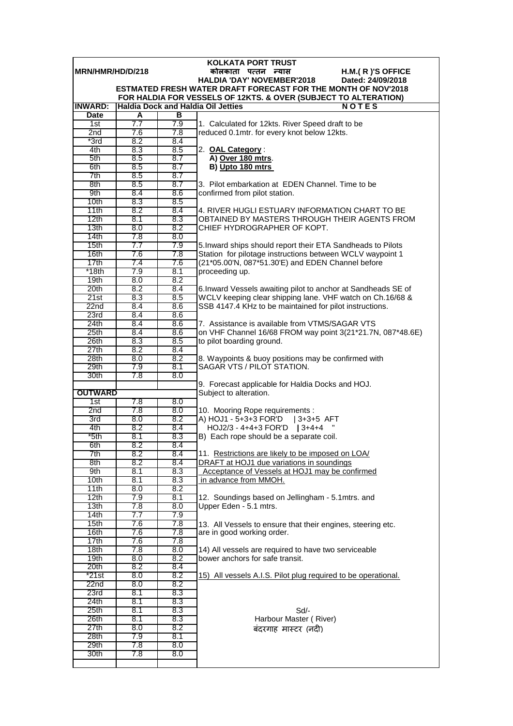| <b>KOLKATA PORT TRUST</b> |            |            |                                                                                                                       |  |  |
|---------------------------|------------|------------|-----------------------------------------------------------------------------------------------------------------------|--|--|
| MRN/HMR/HD/D/218          |            |            | कोलकाता पत्तन न्यास<br>H.M.(R)'S OFFICE                                                                               |  |  |
|                           |            |            | <b>HALDIA 'DAY' NOVEMBER'2018</b><br>Dated: 24/09/2018                                                                |  |  |
|                           |            |            | <b>ESTMATED FRESH WATER DRAFT FORECAST FOR THE MONTH OF NOV'2018</b>                                                  |  |  |
| <b>INWARD:</b>            |            |            | FOR HALDIA FOR VESSELS OF 12KTS. & OVER (SUBJECT TO ALTERATION)<br>Haldia Dock and Haldia Oil Jetties<br><b>NOTES</b> |  |  |
| <b>Date</b>               | A          | в          |                                                                                                                       |  |  |
| 1st                       | 7.7        | 7.9        | 1. Calculated for 12kts. River Speed draft to be                                                                      |  |  |
| 2nd                       | 7.6        | 7.8        | reduced 0.1mtr. for every knot below 12kts.                                                                           |  |  |
| $*3rd$                    | 8.2        | 8.4        |                                                                                                                       |  |  |
| 4th                       | 8.3        | 8.5        | 2. OAL Category:                                                                                                      |  |  |
| 5th                       | 8.5        | 8.7        | A) Over 180 mtrs.                                                                                                     |  |  |
| 6th                       | 8.5        | 8.7        | B) Upto 180 mtrs                                                                                                      |  |  |
| 7th                       | 8.5        | 8.7        |                                                                                                                       |  |  |
| 8th                       | 8.5        | 8.7        | 3. Pilot embarkation at EDEN Channel. Time to be                                                                      |  |  |
| 9th                       | 8.4        | 8.6        | confirmed from pilot station.                                                                                         |  |  |
| 10 <sub>th</sub>          | 8.3        | 8.5        |                                                                                                                       |  |  |
| 11th                      | 8.2        | 8.4        | 4. RIVER HUGLI ESTUARY INFORMATION CHART TO BE                                                                        |  |  |
| 12th                      | 8.1        | 8.3        | OBTAINED BY MASTERS THROUGH THEIR AGENTS FROM                                                                         |  |  |
| 13 <sub>th</sub>          | 8.0        | 8.2        | CHIEF HYDROGRAPHER OF KOPT.                                                                                           |  |  |
| 14th                      | 7.8        | 8.0        |                                                                                                                       |  |  |
| 15th                      | 7.7        | 7.9        | 5. Inward ships should report their ETA Sandheads to Pilots                                                           |  |  |
| 16th<br>17th              | 7.6<br>7.4 | 7.8<br>7.6 | Station for pilotage instructions between WCLV waypoint 1<br>(21*05.00'N, 087*51.30'E) and EDEN Channel before        |  |  |
| $*18th$                   | 7.9        | 8.1        | proceeding up.                                                                                                        |  |  |
| 19 <sub>th</sub>          | 8.0        | 8.2        |                                                                                                                       |  |  |
| 20th                      | 8.2        | 8.4        | 6. Inward Vessels awaiting pilot to anchor at Sandheads SE of                                                         |  |  |
| 21st                      | 8.3        | 8.5        | WCLV keeping clear shipping lane. VHF watch on Ch.16/68 &                                                             |  |  |
| 22 <sub>nd</sub>          | 8.4        | 8.6        | SSB 4147.4 KHz to be maintained for pilot instructions.                                                               |  |  |
| 23rd                      | 8.4        | 8.6        |                                                                                                                       |  |  |
| 24th                      | 8.4        | 8.6        | 7. Assistance is available from VTMS/SAGAR VTS                                                                        |  |  |
| 25th                      | 8.4        | 8.6        | on VHF Channel 16/68 FROM way point 3(21*21.7N, 087*48.6E)                                                            |  |  |
| 26th                      | 8.3        | 8.5        | to pilot boarding ground.                                                                                             |  |  |
| 27th                      | 8.2        | 8.4        |                                                                                                                       |  |  |
| 28 <sub>th</sub>          | 8.0        | 8.2        | 8. Waypoints & buoy positions may be confirmed with                                                                   |  |  |
| 29th                      | 7.9        | 8.1        | SAGAR VTS / PILOT STATION.                                                                                            |  |  |
| 30th                      | 7.8        | 8.0        |                                                                                                                       |  |  |
|                           |            |            | 9. Forecast applicable for Haldia Docks and HOJ.                                                                      |  |  |
| <b>OUTWARD</b>            |            |            | Subject to alteration.                                                                                                |  |  |
| 1st<br>2nd                | 7.8<br>7.8 | 8.0<br>8.0 | 10. Mooring Rope requirements :                                                                                       |  |  |
| 3rd                       | 8.0        | 8.2        | A) HOJ1 - 5+3+3 FOR'D   3+3+5 AFT                                                                                     |  |  |
| 4th                       | 8.2        | 8.4        | HOJ2/3 - 4+4+3 FOR'D   3+4+4                                                                                          |  |  |
| *5th                      | 8.1        | 8.3        | B) Each rope should be a separate coil.                                                                               |  |  |
| 6th                       | 8.2        | 8.4        |                                                                                                                       |  |  |
| 7th                       | 8.2        | 8.4        | 11. Restrictions are likely to be imposed on LOA/                                                                     |  |  |
| 8th                       | 8.2        | 8.4        | DRAFT at HOJ1 due variations in soundings                                                                             |  |  |
| 9th                       | 8.1        | 8.3        | Acceptance of Vessels at HOJ1 may be confirmed                                                                        |  |  |
| 10th                      | 8.1        | 8.3        | in advance from MMOH.                                                                                                 |  |  |
| 11th                      | 8.0        | 8.2        |                                                                                                                       |  |  |
| 12th                      | 7.9        | 8.1        | 12. Soundings based on Jellingham - 5.1 mtrs. and                                                                     |  |  |
| 13 <sub>th</sub>          | 7.8        | 8.0        | Upper Eden - 5.1 mtrs.                                                                                                |  |  |
| 14th                      | 7.7        | 7.9        |                                                                                                                       |  |  |
| 15 <sub>th</sub>          | 7.6        | 7.8        | 13. All Vessels to ensure that their engines, steering etc.                                                           |  |  |
| 16th<br>17th              | 7.6<br>7.6 | 7.8<br>7.8 | are in good working order.                                                                                            |  |  |
| 18 <sub>th</sub>          | 7.8        | 8.0        |                                                                                                                       |  |  |
| 19th                      | 8.0        | 8.2        | 14) All vessels are required to have two serviceable<br>bower anchors for safe transit.                               |  |  |
| 20th                      | 8.2        | 8.4        |                                                                                                                       |  |  |
| *21st                     | 8.0        | 8.2        | 15) All vessels A.I.S. Pilot plug required to be operational.                                                         |  |  |
| 22 <sub>nd</sub>          | 8.0        | 8.2        |                                                                                                                       |  |  |
| 23rd                      | 8.1        | 8.3        |                                                                                                                       |  |  |
| 24th                      | 8.1        | 8.3        |                                                                                                                       |  |  |
| 25 <sub>th</sub>          | 8.1        | 8.3        | $Sd$ -                                                                                                                |  |  |
| 26th                      | 8.1        | 8.3        | Harbour Master (River)                                                                                                |  |  |
| 27th                      | 8.0        | 8.2        | बंदरगाह मास्टर (नदी)                                                                                                  |  |  |
| 28th                      | 7.9        | 8.1        |                                                                                                                       |  |  |
| 29th                      | 7.8        | 8.0        |                                                                                                                       |  |  |
| 30th                      | 7.8        | 8.0        |                                                                                                                       |  |  |
|                           |            |            |                                                                                                                       |  |  |